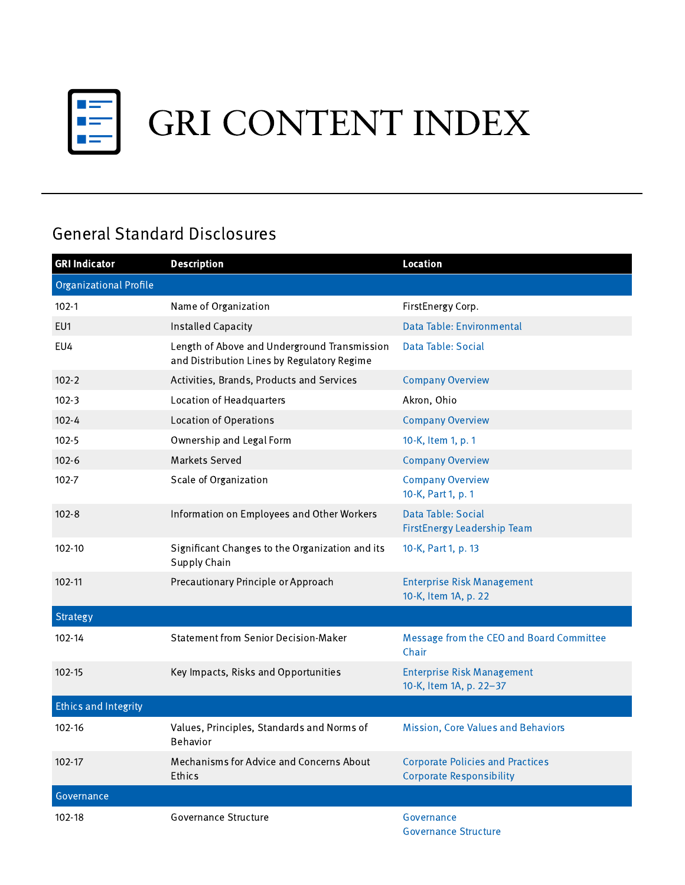

## General Standard Disclosures

| <b>GRI Indicator</b>          | <b>Description</b>                                                                          | <b>Location</b>                                                            |
|-------------------------------|---------------------------------------------------------------------------------------------|----------------------------------------------------------------------------|
| <b>Organizational Profile</b> |                                                                                             |                                                                            |
| $102 - 1$                     | Name of Organization                                                                        | FirstEnergy Corp.                                                          |
| EU1                           | <b>Installed Capacity</b>                                                                   | Data Table: Environmental                                                  |
| EU4                           | Length of Above and Underground Transmission<br>and Distribution Lines by Regulatory Regime | Data Table: Social                                                         |
| $102 - 2$                     | Activities, Brands, Products and Services                                                   | <b>Company Overview</b>                                                    |
| $102 - 3$                     | Location of Headquarters                                                                    | Akron, Ohio                                                                |
| $102 - 4$                     | <b>Location of Operations</b>                                                               | <b>Company Overview</b>                                                    |
| $102 - 5$                     | Ownership and Legal Form                                                                    | 10-K, Item 1, p. 1                                                         |
| $102 - 6$                     | Markets Served                                                                              | <b>Company Overview</b>                                                    |
| $102 - 7$                     | Scale of Organization                                                                       | <b>Company Overview</b><br>10-K, Part 1, p. 1                              |
| $102 - 8$                     | Information on Employees and Other Workers                                                  | Data Table: Social<br>FirstEnergy Leadership Team                          |
| $102 - 10$                    | Significant Changes to the Organization and its<br>Supply Chain                             | 10-K, Part 1, p. 13                                                        |
| 102-11                        | Precautionary Principle or Approach                                                         | <b>Enterprise Risk Management</b><br>10-K, Item 1A, p. 22                  |
| <b>Strategy</b>               |                                                                                             |                                                                            |
| 102-14                        | <b>Statement from Senior Decision-Maker</b>                                                 | Message from the CEO and Board Committee<br>Chair                          |
| $102 - 15$                    | Key Impacts, Risks and Opportunities                                                        | <b>Enterprise Risk Management</b><br>10-K, Item 1A, p. 22-37               |
| <b>Ethics and Integrity</b>   |                                                                                             |                                                                            |
| 102-16                        | Values, Principles, Standards and Norms of<br>Behavior                                      | Mission, Core Values and Behaviors                                         |
| 102-17                        | Mechanisms for Advice and Concerns About<br>Ethics                                          | <b>Corporate Policies and Practices</b><br><b>Corporate Responsibility</b> |
| Governance                    |                                                                                             |                                                                            |
| 102-18                        | Governance Structure                                                                        | Governance<br><b>Governance Structure</b>                                  |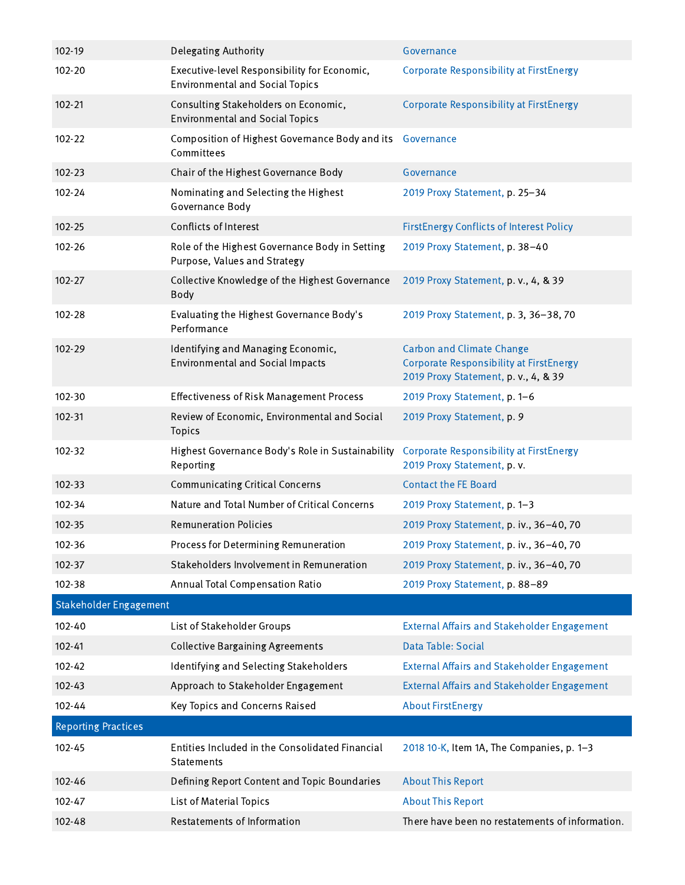| 102-19                        | <b>Delegating Authority</b>                                                            | Governance                                                                                                                 |
|-------------------------------|----------------------------------------------------------------------------------------|----------------------------------------------------------------------------------------------------------------------------|
| 102-20                        | Executive-level Responsibility for Economic,<br><b>Environmental and Social Topics</b> | <b>Corporate Responsibility at FirstEnergy</b>                                                                             |
| 102-21                        | Consulting Stakeholders on Economic,<br><b>Environmental and Social Topics</b>         | <b>Corporate Responsibility at FirstEnergy</b>                                                                             |
| 102-22                        | Composition of Highest Governance Body and its Governance<br>Committees                |                                                                                                                            |
| 102-23                        | Chair of the Highest Governance Body                                                   | Governance                                                                                                                 |
| 102-24                        | Nominating and Selecting the Highest<br>Governance Body                                | 2019 Proxy Statement, p. 25-34                                                                                             |
| 102-25                        | Conflicts of Interest                                                                  | <b>FirstEnergy Conflicts of Interest Policy</b>                                                                            |
| 102-26                        | Role of the Highest Governance Body in Setting<br>Purpose, Values and Strategy         | 2019 Proxy Statement, p. 38-40                                                                                             |
| 102-27                        | Collective Knowledge of the Highest Governance<br>Body                                 | 2019 Proxy Statement, p. v., 4, & 39                                                                                       |
| 102-28                        | Evaluating the Highest Governance Body's<br>Performance                                | 2019 Proxy Statement, p. 3, 36-38, 70                                                                                      |
| 102-29                        | Identifying and Managing Economic,<br><b>Environmental and Social Impacts</b>          | <b>Carbon and Climate Change</b><br><b>Corporate Responsibility at FirstEnergy</b><br>2019 Proxy Statement, p. v., 4, & 39 |
| 102-30                        | <b>Effectiveness of Risk Management Process</b>                                        | 2019 Proxy Statement, p. 1-6                                                                                               |
| 102-31                        | Review of Economic, Environmental and Social<br>Topics                                 | 2019 Proxy Statement, p. 9                                                                                                 |
| 102-32                        | Highest Governance Body's Role in Sustainability<br>Reporting                          | <b>Corporate Responsibility at FirstEnergy</b><br>2019 Proxy Statement, p.v.                                               |
| 102-33                        | <b>Communicating Critical Concerns</b>                                                 | <b>Contact the FE Board</b>                                                                                                |
| 102-34                        | Nature and Total Number of Critical Concerns                                           | 2019 Proxy Statement, p. 1-3                                                                                               |
| 102-35                        | <b>Remuneration Policies</b>                                                           | 2019 Proxy Statement, p. iv., 36-40, 70                                                                                    |
| 102-36                        | Process for Determining Remuneration                                                   | 2019 Proxy Statement, p. iv., 36-40, 70                                                                                    |
| 102-37                        | Stakeholders Involvement in Remuneration                                               | 2019 Proxy Statement, p. iv., 36-40, 70                                                                                    |
| 102-38                        | Annual Total Compensation Ratio                                                        | 2019 Proxy Statement, p. 88-89                                                                                             |
| <b>Stakeholder Engagement</b> |                                                                                        |                                                                                                                            |
| 102-40                        | List of Stakeholder Groups                                                             | <b>External Affairs and Stakeholder Engagement</b>                                                                         |
| 102-41                        | <b>Collective Bargaining Agreements</b>                                                | Data Table: Social                                                                                                         |
| 102-42                        | Identifying and Selecting Stakeholders                                                 | <b>External Affairs and Stakeholder Engagement</b>                                                                         |
| 102-43                        | Approach to Stakeholder Engagement                                                     | <b>External Affairs and Stakeholder Engagement</b>                                                                         |
| 102-44                        | Key Topics and Concerns Raised                                                         | <b>About FirstEnergy</b>                                                                                                   |
| <b>Reporting Practices</b>    |                                                                                        |                                                                                                                            |
| 102-45                        | Entities Included in the Consolidated Financial<br>Statements                          | 2018 10-K, Item 1A, The Companies, p. 1-3                                                                                  |
| 102-46                        | Defining Report Content and Topic Boundaries                                           | <b>About This Report</b>                                                                                                   |
| 102-47                        | List of Material Topics                                                                | <b>About This Report</b>                                                                                                   |
| 102-48                        | Restatements of Information                                                            | There have been no restatements of information.                                                                            |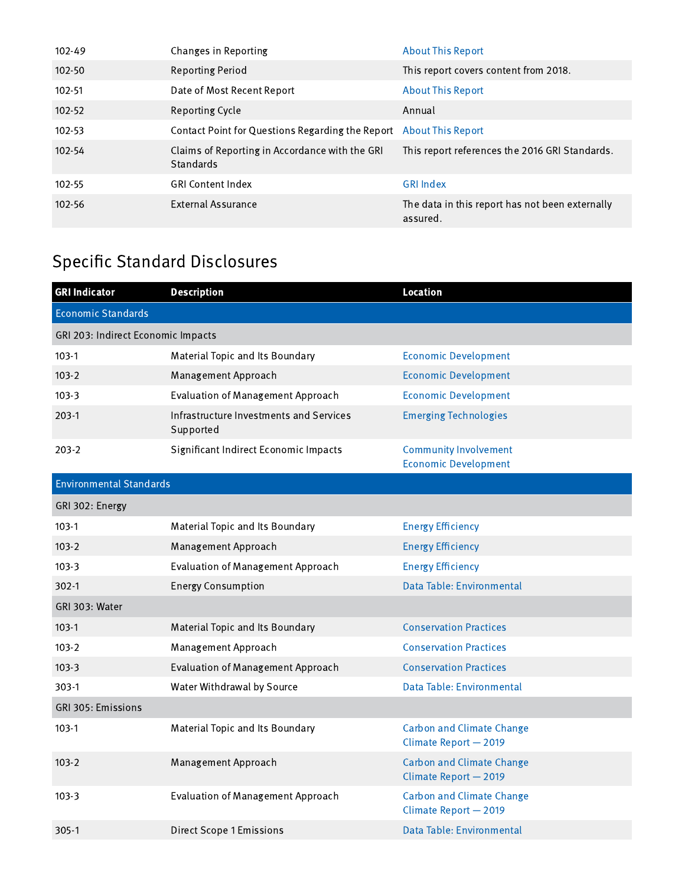| 102-49     | Changes in Reporting                                               | <b>About This Report</b>                                    |
|------------|--------------------------------------------------------------------|-------------------------------------------------------------|
| $102 - 50$ | <b>Reporting Period</b>                                            | This report covers content from 2018.                       |
| 102-51     | Date of Most Recent Report                                         | <b>About This Report</b>                                    |
| $102 - 52$ | Reporting Cycle                                                    | Annual                                                      |
| 102-53     | Contact Point for Questions Regarding the Report About This Report |                                                             |
| 102-54     | Claims of Reporting in Accordance with the GRI<br><b>Standards</b> | This report references the 2016 GRI Standards.              |
| 102-55     | <b>GRI Content Index</b>                                           | <b>GRI Index</b>                                            |
| 102-56     | <b>External Assurance</b>                                          | The data in this report has not been externally<br>assured. |

## Specific Standard Disclosures

| <b>Description</b>                                   | <b>Location</b>                                             |  |  |
|------------------------------------------------------|-------------------------------------------------------------|--|--|
|                                                      |                                                             |  |  |
| GRI 203: Indirect Economic Impacts                   |                                                             |  |  |
| Material Topic and Its Boundary                      | <b>Economic Development</b>                                 |  |  |
| Management Approach                                  | <b>Economic Development</b>                                 |  |  |
| <b>Evaluation of Management Approach</b>             | <b>Economic Development</b>                                 |  |  |
| Infrastructure Investments and Services<br>Supported | <b>Emerging Technologies</b>                                |  |  |
| Significant Indirect Economic Impacts                | <b>Community Involvement</b><br><b>Economic Development</b> |  |  |
| <b>Environmental Standards</b>                       |                                                             |  |  |
| GRI 302: Energy                                      |                                                             |  |  |
| Material Topic and Its Boundary                      | <b>Energy Efficiency</b>                                    |  |  |
| Management Approach                                  | <b>Energy Efficiency</b>                                    |  |  |
| <b>Evaluation of Management Approach</b>             | <b>Energy Efficiency</b>                                    |  |  |
| <b>Energy Consumption</b>                            | Data Table: Environmental                                   |  |  |
| GRI 303: Water                                       |                                                             |  |  |
| Material Topic and Its Boundary                      | <b>Conservation Practices</b>                               |  |  |
| Management Approach                                  | <b>Conservation Practices</b>                               |  |  |
| <b>Evaluation of Management Approach</b>             | <b>Conservation Practices</b>                               |  |  |
| Water Withdrawal by Source                           | Data Table: Environmental                                   |  |  |
| GRI 305: Emissions                                   |                                                             |  |  |
| Material Topic and Its Boundary                      | <b>Carbon and Climate Change</b><br>Climate Report - 2019   |  |  |
| Management Approach                                  | <b>Carbon and Climate Change</b><br>Climate Report - 2019   |  |  |
| <b>Evaluation of Management Approach</b>             | <b>Carbon and Climate Change</b><br>Climate Report - 2019   |  |  |
| <b>Direct Scope 1 Emissions</b>                      | Data Table: Environmental                                   |  |  |
|                                                      |                                                             |  |  |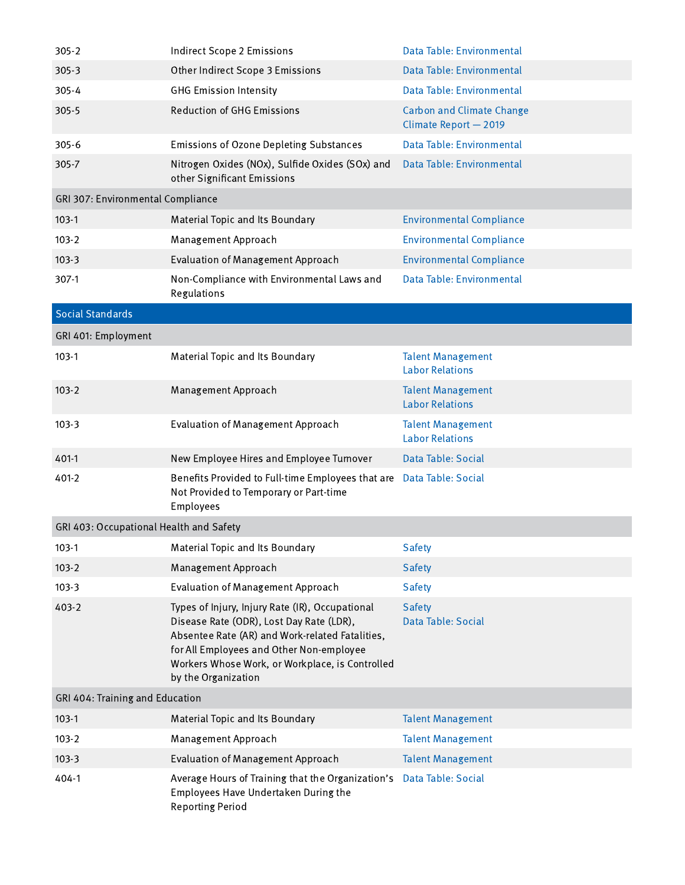| $305 - 2$                               | <b>Indirect Scope 2 Emissions</b>                                                                                                                                                                                                                                    | Data Table: Environmental                                 |
|-----------------------------------------|----------------------------------------------------------------------------------------------------------------------------------------------------------------------------------------------------------------------------------------------------------------------|-----------------------------------------------------------|
| 305-3                                   | Other Indirect Scope 3 Emissions                                                                                                                                                                                                                                     | Data Table: Environmental                                 |
| $305 - 4$                               | <b>GHG Emission Intensity</b>                                                                                                                                                                                                                                        | Data Table: Environmental                                 |
| 305-5                                   | <b>Reduction of GHG Emissions</b>                                                                                                                                                                                                                                    | <b>Carbon and Climate Change</b><br>Climate Report - 2019 |
| $305 - 6$                               | Emissions of Ozone Depleting Substances                                                                                                                                                                                                                              | Data Table: Environmental                                 |
| 305-7                                   | Nitrogen Oxides (NOx), Sulfide Oxides (SOx) and<br>other Significant Emissions                                                                                                                                                                                       | Data Table: Environmental                                 |
| GRI 307: Environmental Compliance       |                                                                                                                                                                                                                                                                      |                                                           |
| $103-1$                                 | Material Topic and Its Boundary                                                                                                                                                                                                                                      | <b>Environmental Compliance</b>                           |
| $103 - 2$                               | Management Approach                                                                                                                                                                                                                                                  | <b>Environmental Compliance</b>                           |
| $103-3$                                 | <b>Evaluation of Management Approach</b>                                                                                                                                                                                                                             | <b>Environmental Compliance</b>                           |
| 307-1                                   | Non-Compliance with Environmental Laws and<br>Regulations                                                                                                                                                                                                            | Data Table: Environmental                                 |
| <b>Social Standards</b>                 |                                                                                                                                                                                                                                                                      |                                                           |
| GRI 401: Employment                     |                                                                                                                                                                                                                                                                      |                                                           |
| $103-1$                                 | Material Topic and Its Boundary                                                                                                                                                                                                                                      | <b>Talent Management</b><br><b>Labor Relations</b>        |
| $103 - 2$                               | Management Approach                                                                                                                                                                                                                                                  | <b>Talent Management</b><br><b>Labor Relations</b>        |
| $103-3$                                 | <b>Evaluation of Management Approach</b>                                                                                                                                                                                                                             | <b>Talent Management</b><br><b>Labor Relations</b>        |
| 401-1                                   | New Employee Hires and Employee Turnover                                                                                                                                                                                                                             | Data Table: Social                                        |
| 401-2                                   | Benefits Provided to Full-time Employees that are<br>Not Provided to Temporary or Part-time<br>Employees                                                                                                                                                             | Data Table: Social                                        |
| GRI 403: Occupational Health and Safety |                                                                                                                                                                                                                                                                      |                                                           |
| $103-1$                                 | Material Topic and Its Boundary                                                                                                                                                                                                                                      | <b>Safety</b>                                             |
| $103 - 2$                               | Management Approach                                                                                                                                                                                                                                                  | <b>Safety</b>                                             |
| $103-3$                                 | <b>Evaluation of Management Approach</b>                                                                                                                                                                                                                             | <b>Safety</b>                                             |
| 403-2                                   | Types of Injury, Injury Rate (IR), Occupational<br>Disease Rate (ODR), Lost Day Rate (LDR),<br>Absentee Rate (AR) and Work-related Fatalities,<br>for All Employees and Other Non-employee<br>Workers Whose Work, or Workplace, is Controlled<br>by the Organization | Safety<br>Data Table: Social                              |
| GRI 404: Training and Education         |                                                                                                                                                                                                                                                                      |                                                           |
| $103-1$                                 | Material Topic and Its Boundary                                                                                                                                                                                                                                      | <b>Talent Management</b>                                  |
| $103 - 2$                               | Management Approach                                                                                                                                                                                                                                                  | <b>Talent Management</b>                                  |
| $103-3$                                 | <b>Evaluation of Management Approach</b>                                                                                                                                                                                                                             | <b>Talent Management</b>                                  |
| 404-1                                   | Average Hours of Training that the Organization's<br>Employees Have Undertaken During the<br><b>Reporting Period</b>                                                                                                                                                 | Data Table: Social                                        |